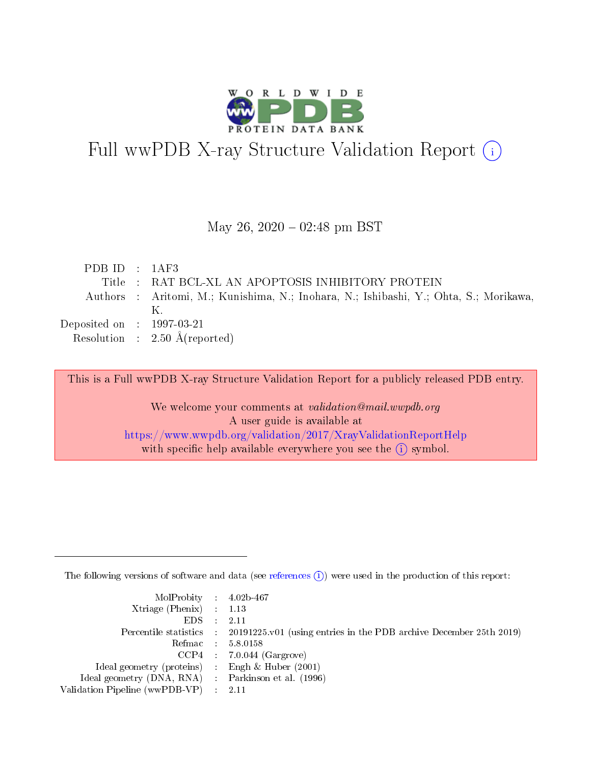

# Full wwPDB X-ray Structure Validation Report (i)

#### May 26,  $2020 - 02:48$  pm BST

| PDBID : 1AF3                         |                                                                                       |
|--------------------------------------|---------------------------------------------------------------------------------------|
|                                      | Title: RAT BCL-XL AN APOPTOSIS INHIBITORY PROTEIN                                     |
|                                      | Authors : Aritomi, M.; Kunishima, N.; Inohara, N.; Ishibashi, Y.; Ohta, S.; Morikawa, |
|                                      | K                                                                                     |
| Deposited on $\therefore$ 1997-03-21 |                                                                                       |
|                                      | Resolution : $2.50 \text{ Å}$ (reported)                                              |

This is a Full wwPDB X-ray Structure Validation Report for a publicly released PDB entry.

We welcome your comments at validation@mail.wwpdb.org A user guide is available at <https://www.wwpdb.org/validation/2017/XrayValidationReportHelp> with specific help available everywhere you see the  $(i)$  symbol.

The following versions of software and data (see [references](https://www.wwpdb.org/validation/2017/XrayValidationReportHelp#references)  $(i)$ ) were used in the production of this report:

| $MolProbability$ 4.02b-467                          |                                                                                            |
|-----------------------------------------------------|--------------------------------------------------------------------------------------------|
| Xtriage (Phenix) $: 1.13$                           |                                                                                            |
| $EDS$ :                                             | -2.11                                                                                      |
|                                                     | Percentile statistics : 20191225.v01 (using entries in the PDB archive December 25th 2019) |
|                                                     | Refmac : 5.8.0158                                                                          |
|                                                     | $CCP4$ : 7.0.044 (Gargrove)                                                                |
| Ideal geometry (proteins) : Engh $\&$ Huber (2001)  |                                                                                            |
| Ideal geometry (DNA, RNA) : Parkinson et al. (1996) |                                                                                            |
| Validation Pipeline (wwPDB-VP)                      | -2.11                                                                                      |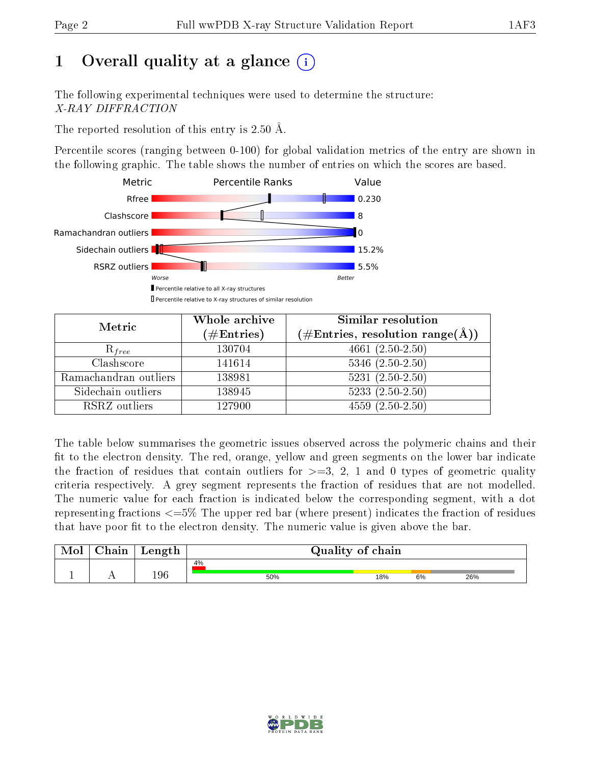## 1 [O](https://www.wwpdb.org/validation/2017/XrayValidationReportHelp#overall_quality)verall quality at a glance  $(i)$

The following experimental techniques were used to determine the structure: X-RAY DIFFRACTION

The reported resolution of this entry is 2.50 Å.

Percentile scores (ranging between 0-100) for global validation metrics of the entry are shown in the following graphic. The table shows the number of entries on which the scores are based.



| Metric                | Whole archive        | Similar resolution                                                     |  |  |
|-----------------------|----------------------|------------------------------------------------------------------------|--|--|
|                       | $(\#\text{Entries})$ | $(\#\text{Entries},\,\text{resolution}\,\,\text{range}(\textup{\AA}))$ |  |  |
| $R_{free}$            | 130704               | $4661(2.50-2.50)$                                                      |  |  |
| Clashscore            | 141614               | $5346$ $(2.50-2.50)$                                                   |  |  |
| Ramachandran outliers | 138981               | $5231 (2.50 - 2.50)$                                                   |  |  |
| Sidechain outliers    | 138945               | $5233(2.50-2.50)$                                                      |  |  |
| RSRZ outliers         | 127900               | $4559(2.50-2.50)$                                                      |  |  |

The table below summarises the geometric issues observed across the polymeric chains and their fit to the electron density. The red, orange, yellow and green segments on the lower bar indicate the fraction of residues that contain outliers for  $>=3, 2, 1$  and 0 types of geometric quality criteria respectively. A grey segment represents the fraction of residues that are not modelled. The numeric value for each fraction is indicated below the corresponding segment, with a dot representing fractions  $\epsilon=5\%$  The upper red bar (where present) indicates the fraction of residues that have poor fit to the electron density. The numeric value is given above the bar.

| Mol | $\cap$ hain | Length | Quality of chain |     |    |     |  |
|-----|-------------|--------|------------------|-----|----|-----|--|
|     |             |        | 4%               |     |    |     |  |
|     |             | 196    | 50%              | 18% | 6% | 26% |  |

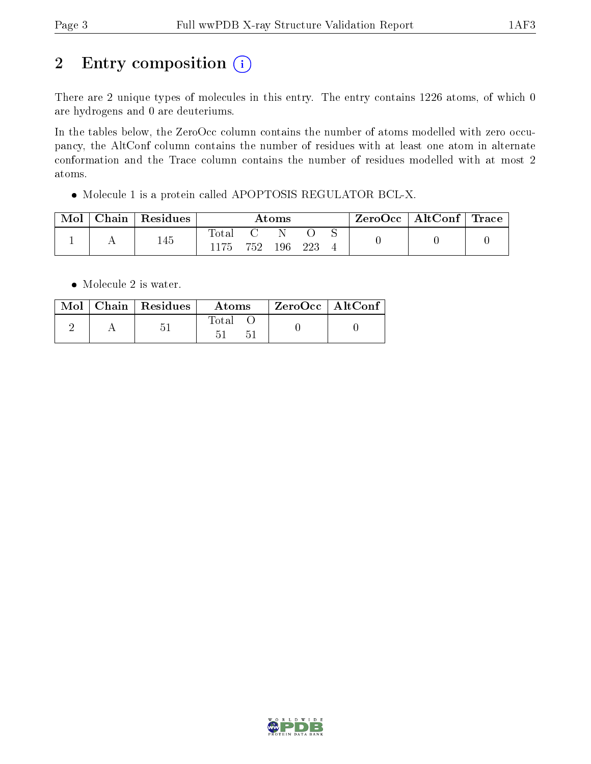## 2 Entry composition (i)

There are 2 unique types of molecules in this entry. The entry contains 1226 atoms, of which 0 are hydrogens and 0 are deuteriums.

In the tables below, the ZeroOcc column contains the number of atoms modelled with zero occupancy, the AltConf column contains the number of residues with at least one atom in alternate conformation and the Trace column contains the number of residues modelled with at most 2 atoms.

Molecule 1 is a protein called APOPTOSIS REGULATOR BCL-X.

| Mol | Chain | $\,$ Residues | Atoms          |     |     |     |  | ZeroOcc   AltConf   Trace |  |
|-----|-------|---------------|----------------|-----|-----|-----|--|---------------------------|--|
|     |       | 145           | $_{\rm Total}$ | 752 | 196 | 223 |  |                           |  |

• Molecule 2 is water.

|  | Mol   Chain   Residues | Atoms | $\,$ ZeroOcc   AltConf $_1$ |  |
|--|------------------------|-------|-----------------------------|--|
|  | 一                      | Total |                             |  |

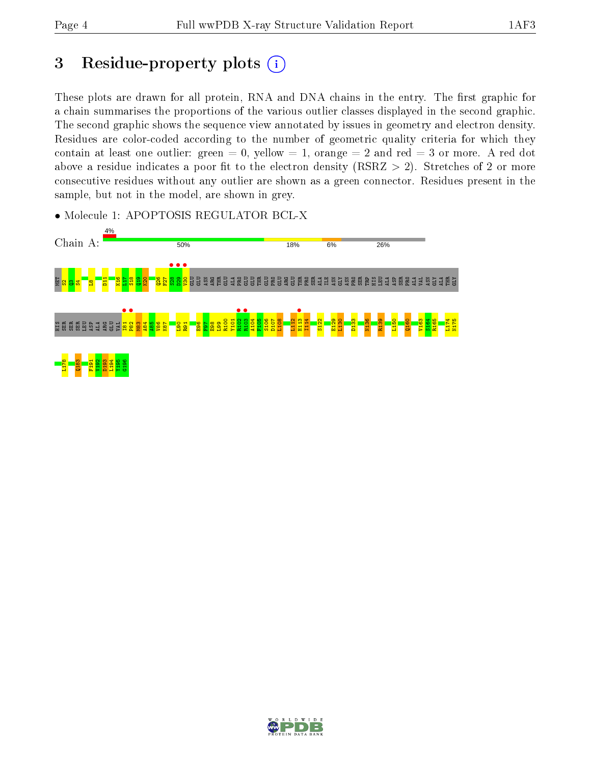## 3 Residue-property plots  $(i)$

These plots are drawn for all protein, RNA and DNA chains in the entry. The first graphic for a chain summarises the proportions of the various outlier classes displayed in the second graphic. The second graphic shows the sequence view annotated by issues in geometry and electron density. Residues are color-coded according to the number of geometric quality criteria for which they contain at least one outlier: green  $= 0$ , yellow  $= 1$ , orange  $= 2$  and red  $= 3$  or more. A red dot above a residue indicates a poor fit to the electron density (RSRZ  $> 2$ ). Stretches of 2 or more consecutive residues without any outlier are shown as a green connector. Residues present in the sample, but not in the model, are shown in grey.

• Molecule 1: APOPTOSIS REGULATOR BCL-X



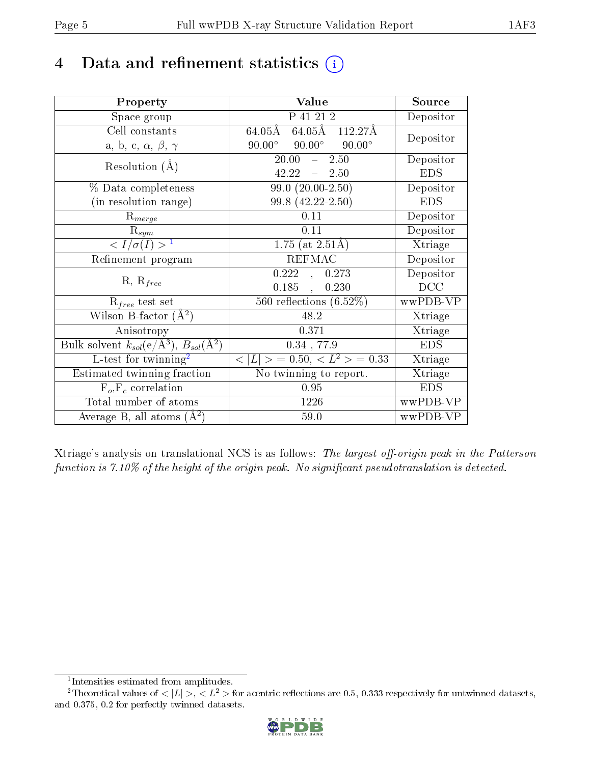## 4 Data and refinement statistics  $(i)$

| Property                                                                | Value                                            | Source     |
|-------------------------------------------------------------------------|--------------------------------------------------|------------|
| Space group                                                             | P 41 21 2                                        | Depositor  |
| Cell constants                                                          | 64.05Å 112.27Å<br>$64.05\rm\AA$                  | Depositor  |
| a, b, c, $\alpha$ , $\beta$ , $\gamma$                                  | $90.00^{\circ}$ $90.00^{\circ}$<br>$90.00^\circ$ |            |
| Resolution $(A)$                                                        | 20.00<br>$-2.50$                                 | Depositor  |
|                                                                         | $42.22 - 2.50$                                   | <b>EDS</b> |
| % Data completeness                                                     | $99.0 (20.00 - 2.50)$                            | Depositor  |
| (in resolution range)                                                   | 99.8 (42.22-2.50)                                | <b>EDS</b> |
| $R_{merge}$                                                             | 0.11                                             | Depositor  |
| $\mathrm{R}_{sym}$                                                      | 0.11                                             | Depositor  |
| $\langle I/\sigma(I) \rangle^{-1}$                                      | 1.75 (at $2.51\text{\AA}$ )                      | Xtriage    |
| Refinement program                                                      | <b>REFMAC</b>                                    | Depositor  |
| $R, R_{free}$                                                           | 0.222,<br>0.273                                  | Depositor  |
|                                                                         | 0.185,<br>0.230                                  | DCC        |
| $\mathcal{R}_{free}$ test set                                           | $\overline{560}$ reflections $(6.52\%)$          | wwPDB-VP   |
| Wilson B-factor $(A^2)$                                                 | 48.2                                             | Xtriage    |
| Anisotropy                                                              | 0.371                                            | Xtriage    |
| Bulk solvent $k_{sol}(\mathrm{e}/\mathrm{A}^3),\,B_{sol}(\mathrm{A}^2)$ | $0.34$ , 77.9                                    | <b>EDS</b> |
| L-test for twinning <sup>2</sup>                                        | $< L >$ = 0.50, $< L^2 >$ = 0.33                 | Xtriage    |
| Estimated twinning fraction                                             | No twinning to report.                           | Xtriage    |
| $F_o, F_c$ correlation                                                  | 0.95                                             | <b>EDS</b> |
| Total number of atoms                                                   | 1226                                             | wwPDB-VP   |
| Average B, all atoms $(A^2)$                                            | 59.0                                             | wwPDB-VP   |

Xtriage's analysis on translational NCS is as follows: The largest off-origin peak in the Patterson function is  $7.10\%$  of the height of the origin peak. No significant pseudotranslation is detected.

<sup>&</sup>lt;sup>2</sup>Theoretical values of  $\langle |L| \rangle$ ,  $\langle L^2 \rangle$  for acentric reflections are 0.5, 0.333 respectively for untwinned datasets, and 0.375, 0.2 for perfectly twinned datasets.



<span id="page-4-1"></span><span id="page-4-0"></span><sup>1</sup> Intensities estimated from amplitudes.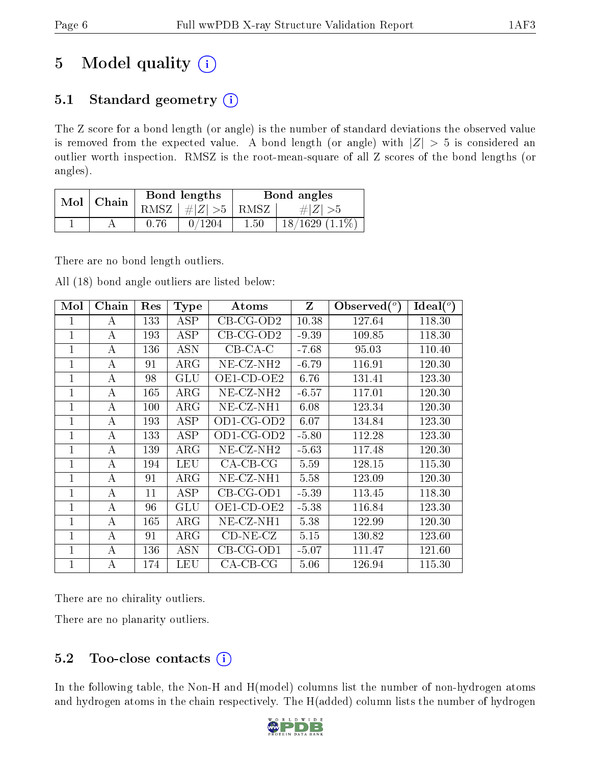## 5 Model quality  $(i)$

### 5.1 Standard geometry  $(i)$

The Z score for a bond length (or angle) is the number of standard deviations the observed value is removed from the expected value. A bond length (or angle) with  $|Z| > 5$  is considered an outlier worth inspection. RMSZ is the root-mean-square of all Z scores of the bond lengths (or angles).

| Mol | Chain |      | Bond lengths  | Bond angles |                    |  |
|-----|-------|------|---------------|-------------|--------------------|--|
|     |       | RMSZ | $\#Z >5$ RMSZ |             | $\# Z  > 5$        |  |
|     |       |      |               | $1.50\,$    | $18/1629$ $(1.1\%$ |  |

There are no bond length outliers.

All (18) bond angle outliers are listed below:

| Mol            | Chain | Res | <b>Type</b> | Atoms                    | $\mathbf{Z}$ | Observed $(^\circ)$ | Ideal $({}^{\circ})$ |
|----------------|-------|-----|-------------|--------------------------|--------------|---------------------|----------------------|
| 1              | А     | 133 | ASP         | $CB-CG-OD2$              | 10.38        | 127.64              | 118.30               |
| $\overline{1}$ | А     | 193 | <b>ASP</b>  | $CB-CG-OD2$              | $-9.39$      | 109.85              | 118.30               |
| 1              | А     | 136 | <b>ASN</b>  | $CB-CA-C$                | $-7.68$      | 95.03               | 110.40               |
| 1              | А     | 91  | $\rm{ARG}$  | $NE- CZ-NH2$             | $-6.79$      | 116.91              | 120.30               |
| $\mathbf{1}$   | А     | 98  | GLU         | OE1-CD-OE2               | 6.76         | 131.41              | 123.30               |
| $\mathbf{1}$   | А     | 165 | $\rm{ARG}$  | $NE$ -CZ-NH <sub>2</sub> | $-6.57$      | 117.01              | 120.30               |
| 1              | А     | 100 | $\rm{ARG}$  | $NE-CZ-NH1$              | 6.08         | 123.34              | 120.30               |
| 1              | А     | 193 | ASP         | $OD1$ -CG- $OD2$         | 6.07         | 134.84              | 123.30               |
| $\overline{1}$ | А     | 133 | ASP         | $OD1$ -CG- $OD2$         | $-5.80$      | 112.28              | 123.30               |
| 1              | А     | 139 | $\rm{ARG}$  | $NE- CZ-NH2$             | $-5.63$      | 117.48              | 120.30               |
| 1              | А     | 194 | LEU         | $CA-CB-CG$               | 5.59         | 128.15              | 115.30               |
| 1              | А     | 91  | $\rm{ARG}$  | NE-CZ-NH1                | 5.58         | 123.09              | 120.30               |
| 1              | А     | 11  | ASP         | $CB-CG-OD1$              | $-5.39$      | 113.45              | 118.30               |
|                | А     | 96  | <b>GLU</b>  | OE1-CD-OE2               | $-5.38$      | 116.84              | 123.30               |
| $\mathbf{1}$   | А     | 165 | $\rm{ARG}$  | NE-CZ-NH1                | 5.38         | 122.99              | 120.30               |
| 1              | А     | 91  | $\rm{ARG}$  | $CD-NE- CZ$              | 5.15         | 130.82              | 123.60               |
| 1              | А     | 136 | <b>ASN</b>  | $CB-CG-OD1$              | $-5.07$      | 111.47              | 121.60               |
| 1              | А     | 174 | LEU         | $CA-CB-CG$               | 5.06         | 126.94              | 115.30               |

There are no chirality outliers.

There are no planarity outliers.

### 5.2 Too-close contacts  $(i)$

In the following table, the Non-H and H(model) columns list the number of non-hydrogen atoms and hydrogen atoms in the chain respectively. The H(added) column lists the number of hydrogen

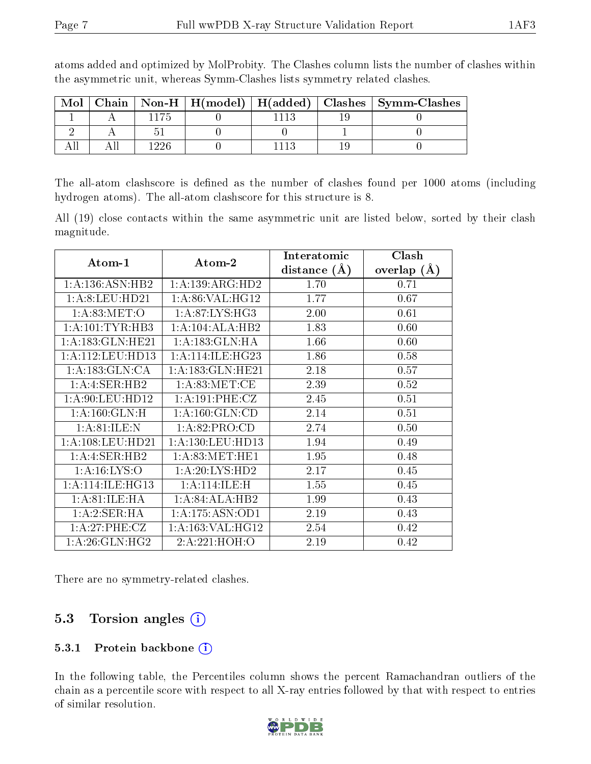| Mol |  |  | Chain   Non-H   H(model)   H(added)   Clashes   Symm-Clashes |
|-----|--|--|--------------------------------------------------------------|
|     |  |  |                                                              |
|     |  |  |                                                              |
|     |  |  |                                                              |

atoms added and optimized by MolProbity. The Clashes column lists the number of clashes within the asymmetric unit, whereas Symm-Clashes lists symmetry related clashes.

The all-atom clashscore is defined as the number of clashes found per 1000 atoms (including hydrogen atoms). The all-atom clashscore for this structure is 8.

All (19) close contacts within the same asymmetric unit are listed below, sorted by their clash magnitude.

|                      |                      | Interatomic    | Clash         |  |
|----------------------|----------------------|----------------|---------------|--|
| Atom-1               | Atom-2               | distance $(A)$ | overlap $(A)$ |  |
| 1:A:136:ASN:HB2      | 1:A:139:ARG:HD2      | 1.70           | 0.71          |  |
| 1:A:8:LEU:HD21       | 1: A:86: VAL:HG12    | 1.77           | 0.67          |  |
| 1: A:83:MET:O        | 1: A:87: LYS: HG3    | 2.00           | 0.61          |  |
| 1: A: 101: TYR: HB3  | 1:A:104:ALA:HB2      | 1.83           | 0.60          |  |
| 1:A:183:GLN:HE21     | 1: A: 183: GLN: HA   | 1.66           | 0.60          |  |
| 1:A:112:LEU:HD13     | 1: A:114: ILE: HG23  | 1.86           | 0.58          |  |
| 1: A: 183: GLN: CA   | 1:A:183:GLN:HE21     | 2.18           | 0.57          |  |
| 1:A:3ER:HB2          | 1: A:83:MET:CE       | 2.39           | 0.52          |  |
| 1: A:90: LEU: HD12   | 1: A:191:PHE: CZ     | 2.45           | 0.51          |  |
| 1: A: 160: GLN: H    | 1: A: 160: GLN: CD   | 2.14           | 0.51          |  |
| 1: A:81: ILE:N       | 1:A:82:PRO:CD        | 2.74           | 0.50          |  |
| 1: A: 108: LEU: HD21 | 1: A: 130: LEU: HD13 | 1.94           | 0.49          |  |
| 1:A:3ER:HB2          | 1: A:83:MET:HE1      | 1.95           | 0.48          |  |
| 1:A:16:LYS:O         | 1:A:20:LYS:HD2       | 2.17           | 0.45          |  |
| 1: A:114: ILE: HG13  | 1: A:114: ILE:H      | 1.55           | 0.45          |  |
| 1:A:81:ILE:HA        | 1:A:84:ALA:HB2       | 1.99           | 0.43          |  |
| 1:A:2:SER:HA         | 1:A:175:ASN:OD1      | 2.19           | 0.43          |  |
| 1: A:27:PHE:CZ       | 1: A: 163: VAL: HG12 | 2.54           | 0.42          |  |
| 1: A:26: GLN: HG2    | 2:A:221:HOH:O        | 2.19           | 0.42          |  |

There are no symmetry-related clashes.

### 5.3 Torsion angles (i)

#### 5.3.1 Protein backbone (i)

In the following table, the Percentiles column shows the percent Ramachandran outliers of the chain as a percentile score with respect to all X-ray entries followed by that with respect to entries of similar resolution.

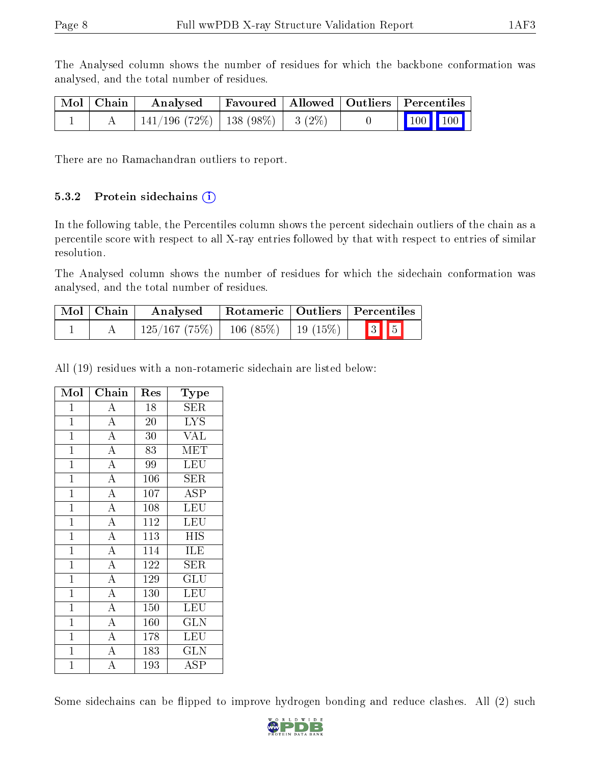The Analysed column shows the number of residues for which the backbone conformation was analysed, and the total number of residues.

| $\mid$ Mol $\mid$ Chain $\mid$ | Analysed                                |  |  | Favoured   Allowed   Outliers   Percentiles |
|--------------------------------|-----------------------------------------|--|--|---------------------------------------------|
|                                | $141/196$ (72\%)   138 (98\%)   3 (2\%) |  |  | $\vert$ 100 100 $\vert$                     |

There are no Ramachandran outliers to report.

#### 5.3.2 Protein sidechains  $(i)$

In the following table, the Percentiles column shows the percent sidechain outliers of the chain as a percentile score with respect to all X-ray entries followed by that with respect to entries of similar resolution.

The Analysed column shows the number of residues for which the sidechain conformation was analysed, and the total number of residues.

| Mol   Chain | Analysed                                  |  | Rotameric   Outliers   Percentiles |
|-------------|-------------------------------------------|--|------------------------------------|
|             | $125/167$ (75\%)   106 (85\%)   19 (15\%) |  | $\boxed{3}$ $\boxed{5}$            |

All (19) residues with a non-rotameric sidechain are listed below:

| Mol            | $\overline{\text{Chain}}$ | Res         | Type                    |
|----------------|---------------------------|-------------|-------------------------|
| $\mathbf{1}$   | A                         | 18          | <b>SER</b>              |
| $\mathbf{1}$   | $\overline{A}$            | 20          | $\overline{\text{LYS}}$ |
| $\mathbf{1}$   | $\overline{A}$            | 30          | <b>VAL</b>              |
| $\overline{1}$ | $\overline{A}$            | 83          | MET                     |
| $\mathbf{1}$   | $\overline{\rm A}$        | 99          | LEU                     |
| $\mathbf{1}$   | $\overline{A}$            | 106         | <b>SER</b>              |
| $\overline{1}$ | $\overline{A}$            | $\bar{1}07$ | $\overline{\text{ASP}}$ |
| $\mathbf{1}$   | $\overline{A}$            | 108         | $\overline{\text{LEU}}$ |
| $\mathbf{1}$   | $\overline{A}$            | 112         | <b>LEU</b>              |
| $\mathbf{1}$   | $\overline{A}$            | 113         | <b>HIS</b>              |
| $\mathbf{1}$   | $\overline{A}$            | 114         | ILE                     |
| $\mathbf{1}$   | $\overline{\rm A}$        | 122         | ${\rm SER}$             |
| $\mathbf{1}$   | $\overline{A}$            | 129         | GLU                     |
| $\mathbf{1}$   | $\overline{A}$            | 130         | LEU                     |
| $\mathbf{1}$   | $\overline{\rm A}$        | 150         | LEU                     |
| $\mathbf{1}$   | $\overline{A}$            | 160         | <b>GLN</b>              |
| $\mathbf{1}$   | $\overline{A}$            | 178         | LEU                     |
| $\mathbf{1}$   | $\overline{A}$            | 183         | <b>GLN</b>              |
| $\mathbf 1$    | $\overline{\rm A}$        | 193         | ASP                     |

Some sidechains can be flipped to improve hydrogen bonding and reduce clashes. All (2) such

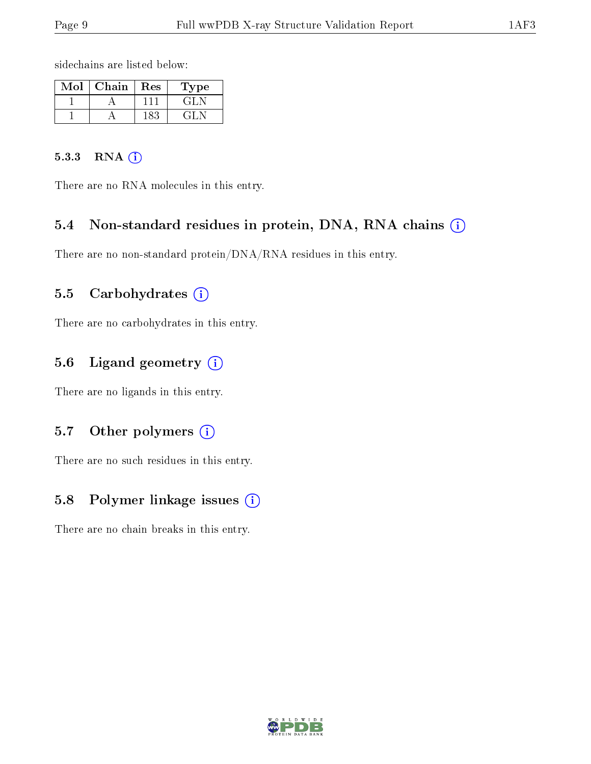sidechains are listed below:

| Mol | Chain | Res  | Type    |
|-----|-------|------|---------|
|     |       |      | GH      |
|     |       | 183. | ت الجي، |

#### 5.3.3 RNA (i)

There are no RNA molecules in this entry.

#### 5.4 Non-standard residues in protein, DNA, RNA chains  $(i)$

There are no non-standard protein/DNA/RNA residues in this entry.

#### 5.5 Carbohydrates  $(i)$

There are no carbohydrates in this entry.

#### 5.6 Ligand geometry  $(i)$

There are no ligands in this entry.

#### 5.7 [O](https://www.wwpdb.org/validation/2017/XrayValidationReportHelp#nonstandard_residues_and_ligands)ther polymers (i)

There are no such residues in this entry.

#### 5.8 Polymer linkage issues (i)

There are no chain breaks in this entry.